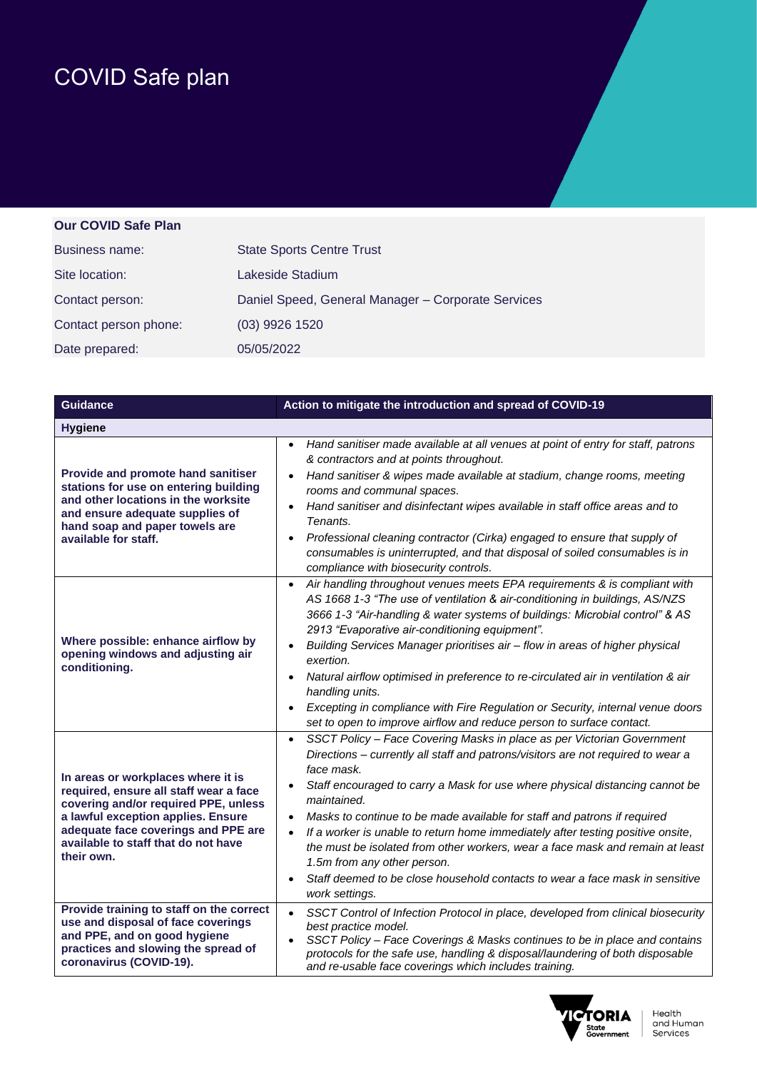## COVID Safe plan

## **Our COVID Safe Plan**

| Business name:        | <b>State Sports Centre Trust</b>                   |
|-----------------------|----------------------------------------------------|
| Site location:        | Lakeside Stadium                                   |
| Contact person:       | Daniel Speed, General Manager - Corporate Services |
| Contact person phone: | (03) 9926 1520                                     |
| Date prepared:        | 05/05/2022                                         |

| <b>Guidance</b>                                                                                                                                                                                                                                        | Action to mitigate the introduction and spread of COVID-19                                                                                                                                                                                                                                                                                                                                                                                                                                                                                                                                                                                                                         |
|--------------------------------------------------------------------------------------------------------------------------------------------------------------------------------------------------------------------------------------------------------|------------------------------------------------------------------------------------------------------------------------------------------------------------------------------------------------------------------------------------------------------------------------------------------------------------------------------------------------------------------------------------------------------------------------------------------------------------------------------------------------------------------------------------------------------------------------------------------------------------------------------------------------------------------------------------|
| <b>Hygiene</b>                                                                                                                                                                                                                                         |                                                                                                                                                                                                                                                                                                                                                                                                                                                                                                                                                                                                                                                                                    |
| Provide and promote hand sanitiser<br>stations for use on entering building<br>and other locations in the worksite<br>and ensure adequate supplies of<br>hand soap and paper towels are<br>available for staff.                                        | Hand sanitiser made available at all venues at point of entry for staff, patrons<br>$\bullet$<br>& contractors and at points throughout.<br>Hand sanitiser & wipes made available at stadium, change rooms, meeting<br>$\bullet$<br>rooms and communal spaces.<br>Hand sanitiser and disinfectant wipes available in staff office areas and to<br>$\bullet$<br>Tenants.<br>Professional cleaning contractor (Cirka) engaged to ensure that supply of<br>$\bullet$<br>consumables is uninterrupted, and that disposal of soiled consumables is in<br>compliance with biosecurity controls.                                                                                          |
| Where possible: enhance airflow by<br>opening windows and adjusting air<br>conditioning.                                                                                                                                                               | Air handling throughout venues meets EPA requirements & is compliant with<br>$\bullet$<br>AS 1668 1-3 "The use of ventilation & air-conditioning in buildings, AS/NZS<br>3666 1-3 "Air-handling & water systems of buildings: Microbial control" & AS<br>2913 "Evaporative air-conditioning equipment".<br>Building Services Manager prioritises air - flow in areas of higher physical<br>exertion.<br>Natural airflow optimised in preference to re-circulated air in ventilation & air<br>handling units.<br>Excepting in compliance with Fire Regulation or Security, internal venue doors<br>set to open to improve airflow and reduce person to surface contact.             |
| In areas or workplaces where it is<br>required, ensure all staff wear a face<br>covering and/or required PPE, unless<br>a lawful exception applies. Ensure<br>adequate face coverings and PPE are<br>available to staff that do not have<br>their own. | SSCT Policy - Face Covering Masks in place as per Victorian Government<br>$\bullet$<br>Directions - currently all staff and patrons/visitors are not required to wear a<br>face mask.<br>Staff encouraged to carry a Mask for use where physical distancing cannot be<br>maintained.<br>Masks to continue to be made available for staff and patrons if required<br>$\bullet$<br>If a worker is unable to return home immediately after testing positive onsite,<br>the must be isolated from other workers, wear a face mask and remain at least<br>1.5m from any other person.<br>Staff deemed to be close household contacts to wear a face mask in sensitive<br>work settings. |
| Provide training to staff on the correct<br>use and disposal of face coverings<br>and PPE, and on good hygiene<br>practices and slowing the spread of<br>coronavirus (COVID-19).                                                                       | SSCT Control of Infection Protocol in place, developed from clinical biosecurity<br>$\bullet$<br>best practice model.<br>SSCT Policy - Face Coverings & Masks continues to be in place and contains<br>protocols for the safe use, handling & disposal/laundering of both disposable<br>and re-usable face coverings which includes training.                                                                                                                                                                                                                                                                                                                                      |

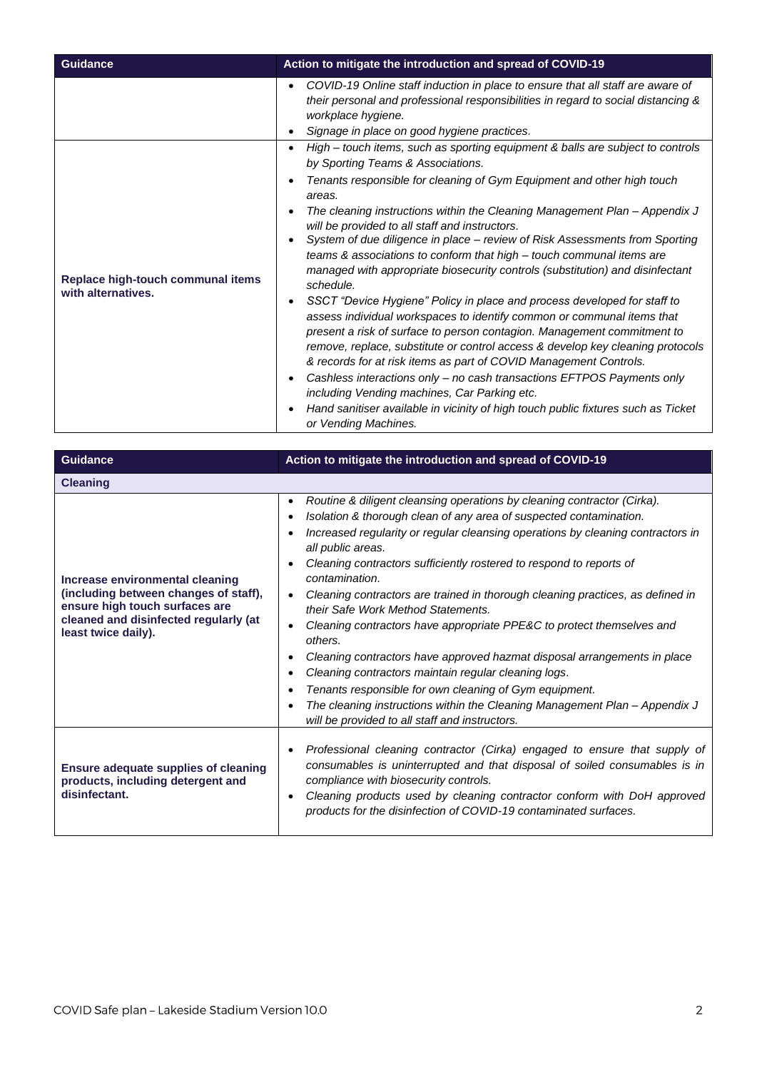| <b>Guidance</b>                                         | Action to mitigate the introduction and spread of COVID-19                                                                                                                                                                                                                                                                                                                                                                                                                                                                                                                                                                                                                                                                                                                                                                                                                                                                                                                                                                                                                                                                                                                                                                       |
|---------------------------------------------------------|----------------------------------------------------------------------------------------------------------------------------------------------------------------------------------------------------------------------------------------------------------------------------------------------------------------------------------------------------------------------------------------------------------------------------------------------------------------------------------------------------------------------------------------------------------------------------------------------------------------------------------------------------------------------------------------------------------------------------------------------------------------------------------------------------------------------------------------------------------------------------------------------------------------------------------------------------------------------------------------------------------------------------------------------------------------------------------------------------------------------------------------------------------------------------------------------------------------------------------|
|                                                         | COVID-19 Online staff induction in place to ensure that all staff are aware of<br>their personal and professional responsibilities in regard to social distancing &<br>workplace hygiene.<br>Signage in place on good hygiene practices.                                                                                                                                                                                                                                                                                                                                                                                                                                                                                                                                                                                                                                                                                                                                                                                                                                                                                                                                                                                         |
| Replace high-touch communal items<br>with alternatives. | High - touch items, such as sporting equipment & balls are subject to controls<br>٠<br>by Sporting Teams & Associations.<br>Tenants responsible for cleaning of Gym Equipment and other high touch<br>areas.<br>The cleaning instructions within the Cleaning Management Plan - Appendix J<br>will be provided to all staff and instructors.<br>System of due diligence in place - review of Risk Assessments from Sporting<br>teams & associations to conform that high – touch communal items are<br>managed with appropriate biosecurity controls (substitution) and disinfectant<br>schedule.<br>SSCT "Device Hygiene" Policy in place and process developed for staff to<br>assess individual workspaces to identify common or communal items that<br>present a risk of surface to person contagion. Management commitment to<br>remove, replace, substitute or control access & develop key cleaning protocols<br>& records for at risk items as part of COVID Management Controls.<br>Cashless interactions only - no cash transactions EFTPOS Payments only<br>including Vending machines, Car Parking etc.<br>Hand sanitiser available in vicinity of high touch public fixtures such as Ticket<br>or Vending Machines. |

| <b>Guidance</b>                                                                                                                                                            | Action to mitigate the introduction and spread of COVID-19                                                                                                                                                                                                                                                                                                                                                                                                                                                                                                                                                                                                                                                                                                                                                                                                                                            |
|----------------------------------------------------------------------------------------------------------------------------------------------------------------------------|-------------------------------------------------------------------------------------------------------------------------------------------------------------------------------------------------------------------------------------------------------------------------------------------------------------------------------------------------------------------------------------------------------------------------------------------------------------------------------------------------------------------------------------------------------------------------------------------------------------------------------------------------------------------------------------------------------------------------------------------------------------------------------------------------------------------------------------------------------------------------------------------------------|
| <b>Cleaning</b>                                                                                                                                                            |                                                                                                                                                                                                                                                                                                                                                                                                                                                                                                                                                                                                                                                                                                                                                                                                                                                                                                       |
| Increase environmental cleaning<br>(including between changes of staff),<br>ensure high touch surfaces are<br>cleaned and disinfected regularly (at<br>least twice daily). | Routine & diligent cleansing operations by cleaning contractor (Cirka).<br>$\bullet$<br>Isolation & thorough clean of any area of suspected contamination.<br>Increased regularity or regular cleansing operations by cleaning contractors in<br>all public areas.<br>Cleaning contractors sufficiently rostered to respond to reports of<br>contamination.<br>Cleaning contractors are trained in thorough cleaning practices, as defined in<br>their Safe Work Method Statements.<br>Cleaning contractors have appropriate PPE&C to protect themselves and<br>others.<br>Cleaning contractors have approved hazmat disposal arrangements in place<br>Cleaning contractors maintain regular cleaning logs.<br>Tenants responsible for own cleaning of Gym equipment.<br>The cleaning instructions within the Cleaning Management Plan - Appendix J<br>will be provided to all staff and instructors. |
| <b>Ensure adequate supplies of cleaning</b><br>products, including detergent and<br>disinfectant.                                                                          | Professional cleaning contractor (Cirka) engaged to ensure that supply of<br>consumables is uninterrupted and that disposal of soiled consumables is in<br>compliance with biosecurity controls.<br>Cleaning products used by cleaning contractor conform with DoH approved<br>products for the disinfection of COVID-19 contaminated surfaces.                                                                                                                                                                                                                                                                                                                                                                                                                                                                                                                                                       |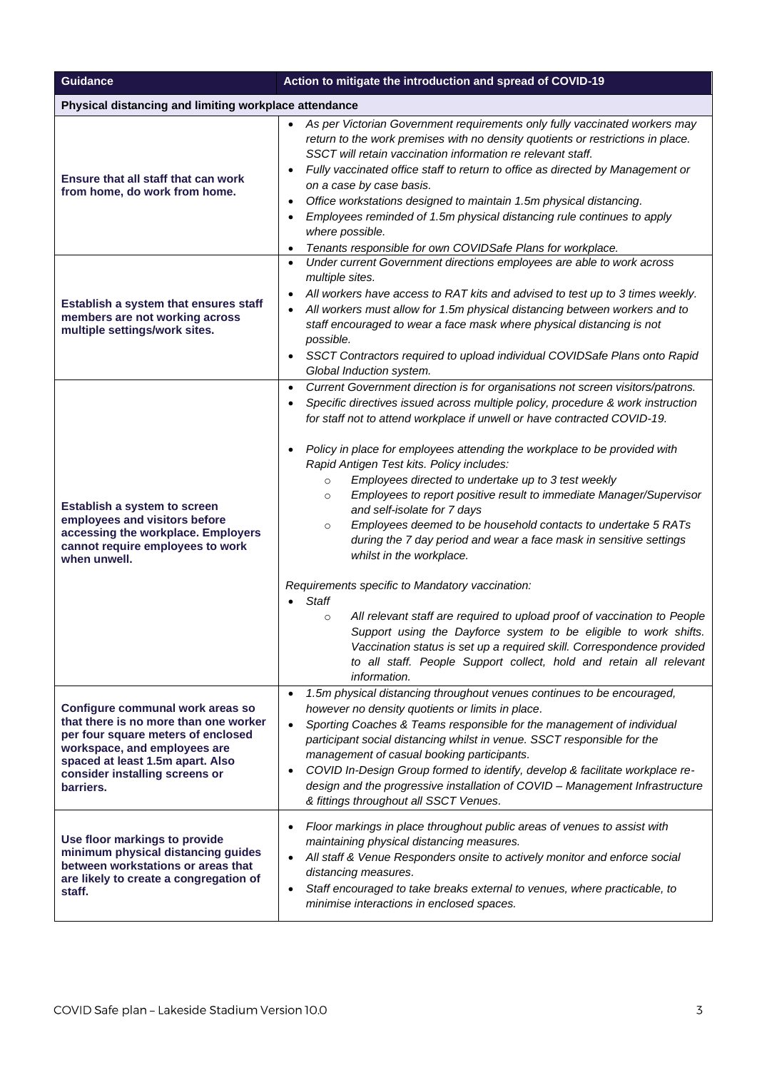| <b>Guidance</b>                                                                                                                                                                                                                    | Action to mitigate the introduction and spread of COVID-19                                                                                                                                                                                                                                                                                                                                                                                                                                                                                                                                                                                                                                                                                                                                                                                                                                                                                                                                                                                                                                                                                          |
|------------------------------------------------------------------------------------------------------------------------------------------------------------------------------------------------------------------------------------|-----------------------------------------------------------------------------------------------------------------------------------------------------------------------------------------------------------------------------------------------------------------------------------------------------------------------------------------------------------------------------------------------------------------------------------------------------------------------------------------------------------------------------------------------------------------------------------------------------------------------------------------------------------------------------------------------------------------------------------------------------------------------------------------------------------------------------------------------------------------------------------------------------------------------------------------------------------------------------------------------------------------------------------------------------------------------------------------------------------------------------------------------------|
| Physical distancing and limiting workplace attendance                                                                                                                                                                              |                                                                                                                                                                                                                                                                                                                                                                                                                                                                                                                                                                                                                                                                                                                                                                                                                                                                                                                                                                                                                                                                                                                                                     |
| Ensure that all staff that can work<br>from home, do work from home.                                                                                                                                                               | As per Victorian Government requirements only fully vaccinated workers may<br>return to the work premises with no density quotients or restrictions in place.<br>SSCT will retain vaccination information re relevant staff.<br>Fully vaccinated office staff to return to office as directed by Management or<br>on a case by case basis.<br>Office workstations designed to maintain 1.5m physical distancing.<br>$\bullet$<br>Employees reminded of 1.5m physical distancing rule continues to apply<br>where possible.<br>Tenants responsible for own COVIDSafe Plans for workplace.<br>$\bullet$                                                                                                                                                                                                                                                                                                                                                                                                                                                                                                                                               |
| Establish a system that ensures staff<br>members are not working across<br>multiple settings/work sites.                                                                                                                           | Under current Government directions employees are able to work across<br>$\bullet$<br>multiple sites.<br>All workers have access to RAT kits and advised to test up to 3 times weekly.<br>$\bullet$<br>All workers must allow for 1.5m physical distancing between workers and to<br>staff encouraged to wear a face mask where physical distancing is not<br>possible.<br>SSCT Contractors required to upload individual COVIDSafe Plans onto Rapid<br>$\bullet$<br>Global Induction system.                                                                                                                                                                                                                                                                                                                                                                                                                                                                                                                                                                                                                                                       |
| Establish a system to screen<br>employees and visitors before<br>accessing the workplace. Employers<br>cannot require employees to work<br>when unwell.                                                                            | Current Government direction is for organisations not screen visitors/patrons.<br>$\bullet$<br>Specific directives issued across multiple policy, procedure & work instruction<br>for staff not to attend workplace if unwell or have contracted COVID-19.<br>Policy in place for employees attending the workplace to be provided with<br>Rapid Antigen Test kits. Policy includes:<br>Employees directed to undertake up to 3 test weekly<br>$\circ$<br>Employees to report positive result to immediate Manager/Supervisor<br>$\circ$<br>and self-isolate for 7 days<br>Employees deemed to be household contacts to undertake 5 RATs<br>$\circ$<br>during the 7 day period and wear a face mask in sensitive settings<br>whilst in the workplace.<br>Requirements specific to Mandatory vaccination:<br><b>Staff</b><br>All relevant staff are required to upload proof of vaccination to People<br>$\circ$<br>Support using the Dayforce system to be eligible to work shifts.<br>Vaccination status is set up a required skill. Correspondence provided<br>to all staff. People Support collect, hold and retain all relevant<br>information. |
| Configure communal work areas so<br>that there is no more than one worker<br>per four square meters of enclosed<br>workspace, and employees are<br>spaced at least 1.5m apart. Also<br>consider installing screens or<br>barriers. | 1.5m physical distancing throughout venues continues to be encouraged,<br>however no density quotients or limits in place.<br>Sporting Coaches & Teams responsible for the management of individual<br>$\bullet$<br>participant social distancing whilst in venue. SSCT responsible for the<br>management of casual booking participants.<br>COVID In-Design Group formed to identify, develop & facilitate workplace re-<br>design and the progressive installation of COVID - Management Infrastructure<br>& fittings throughout all SSCT Venues.                                                                                                                                                                                                                                                                                                                                                                                                                                                                                                                                                                                                 |
| Use floor markings to provide<br>minimum physical distancing guides<br>between workstations or areas that<br>are likely to create a congregation of<br>staff.                                                                      | Floor markings in place throughout public areas of venues to assist with<br>maintaining physical distancing measures.<br>All staff & Venue Responders onsite to actively monitor and enforce social<br>$\bullet$<br>distancing measures.<br>Staff encouraged to take breaks external to venues, where practicable, to<br>$\bullet$<br>minimise interactions in enclosed spaces.                                                                                                                                                                                                                                                                                                                                                                                                                                                                                                                                                                                                                                                                                                                                                                     |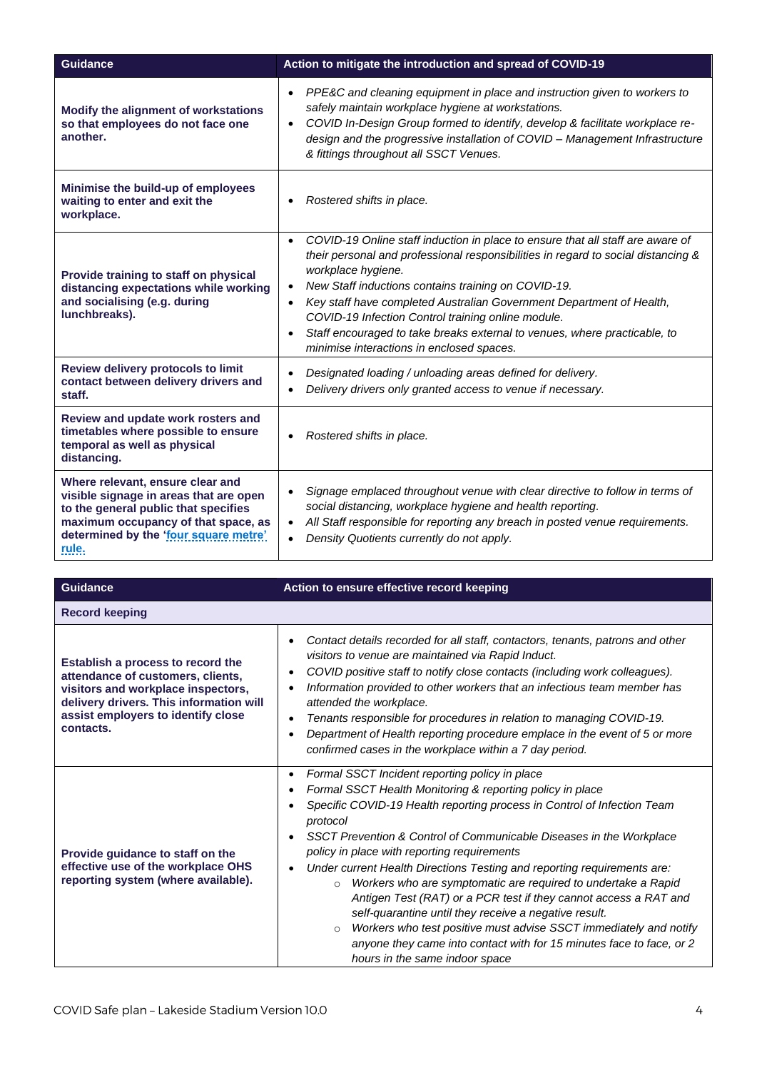| <b>Guidance</b>                                                                                                                                                                                                    | Action to mitigate the introduction and spread of COVID-19                                                                                                                                                                                                                                                                                                                                                                                                                                                                         |
|--------------------------------------------------------------------------------------------------------------------------------------------------------------------------------------------------------------------|------------------------------------------------------------------------------------------------------------------------------------------------------------------------------------------------------------------------------------------------------------------------------------------------------------------------------------------------------------------------------------------------------------------------------------------------------------------------------------------------------------------------------------|
| Modify the alignment of workstations<br>so that employees do not face one<br>another.                                                                                                                              | PPE&C and cleaning equipment in place and instruction given to workers to<br>$\bullet$<br>safely maintain workplace hygiene at workstations.<br>COVID In-Design Group formed to identify, develop & facilitate workplace re-<br>$\bullet$<br>design and the progressive installation of COVID - Management Infrastructure<br>& fittings throughout all SSCT Venues.                                                                                                                                                                |
| Minimise the build-up of employees<br>waiting to enter and exit the<br>workplace.                                                                                                                                  | Rostered shifts in place.                                                                                                                                                                                                                                                                                                                                                                                                                                                                                                          |
| Provide training to staff on physical<br>distancing expectations while working<br>and socialising (e.g. during<br>lunchbreaks).                                                                                    | COVID-19 Online staff induction in place to ensure that all staff are aware of<br>$\bullet$<br>their personal and professional responsibilities in regard to social distancing &<br>workplace hygiene.<br>New Staff inductions contains training on COVID-19.<br>Key staff have completed Australian Government Department of Health,<br>$\bullet$<br>COVID-19 Infection Control training online module.<br>Staff encouraged to take breaks external to venues, where practicable, to<br>minimise interactions in enclosed spaces. |
| Review delivery protocols to limit<br>contact between delivery drivers and<br>staff.                                                                                                                               | Designated loading / unloading areas defined for delivery.<br>Delivery drivers only granted access to venue if necessary.                                                                                                                                                                                                                                                                                                                                                                                                          |
| Review and update work rosters and<br>timetables where possible to ensure<br>temporal as well as physical<br>distancing.                                                                                           | Rostered shifts in place.                                                                                                                                                                                                                                                                                                                                                                                                                                                                                                          |
| Where relevant, ensure clear and<br>visible signage in areas that are open<br>to the general public that specifies<br>maximum occupancy of that space, as<br>determined by the 'four square metre'<br><u>rule.</u> | Signage emplaced throughout venue with clear directive to follow in terms of<br>social distancing, workplace hygiene and health reporting.<br>All Staff responsible for reporting any breach in posted venue requirements.<br>$\bullet$<br>Density Quotients currently do not apply.                                                                                                                                                                                                                                               |

| <b>Guidance</b>                                                                                                                                                                                            | Action to ensure effective record keeping                                                                                                                                                                                                                                                                                                                                                                                                                                                                                                                                                                                                                                                                                                                                                                                |
|------------------------------------------------------------------------------------------------------------------------------------------------------------------------------------------------------------|--------------------------------------------------------------------------------------------------------------------------------------------------------------------------------------------------------------------------------------------------------------------------------------------------------------------------------------------------------------------------------------------------------------------------------------------------------------------------------------------------------------------------------------------------------------------------------------------------------------------------------------------------------------------------------------------------------------------------------------------------------------------------------------------------------------------------|
| <b>Record keeping</b>                                                                                                                                                                                      |                                                                                                                                                                                                                                                                                                                                                                                                                                                                                                                                                                                                                                                                                                                                                                                                                          |
| Establish a process to record the<br>attendance of customers, clients,<br>visitors and workplace inspectors,<br>delivery drivers. This information will<br>assist employers to identify close<br>contacts. | Contact details recorded for all staff, contactors, tenants, patrons and other<br>visitors to venue are maintained via Rapid Induct.<br>COVID positive staff to notify close contacts (including work colleagues).<br>Information provided to other workers that an infectious team member has<br>attended the workplace.<br>Tenants responsible for procedures in relation to managing COVID-19.<br>Department of Health reporting procedure emplace in the event of 5 or more<br>confirmed cases in the workplace within a 7 day period.                                                                                                                                                                                                                                                                               |
| Provide guidance to staff on the<br>effective use of the workplace OHS<br>reporting system (where available).                                                                                              | Formal SSCT Incident reporting policy in place<br>$\bullet$<br>Formal SSCT Health Monitoring & reporting policy in place<br>٠<br>Specific COVID-19 Health reporting process in Control of Infection Team<br>protocol<br>SSCT Prevention & Control of Communicable Diseases in the Workplace<br>policy in place with reporting requirements<br>Under current Health Directions Testing and reporting requirements are:<br>Workers who are symptomatic are required to undertake a Rapid<br>$\circ$<br>Antigen Test (RAT) or a PCR test if they cannot access a RAT and<br>self-quarantine until they receive a negative result.<br>Workers who test positive must advise SSCT immediately and notify<br>$\circ$<br>anyone they came into contact with for 15 minutes face to face, or 2<br>hours in the same indoor space |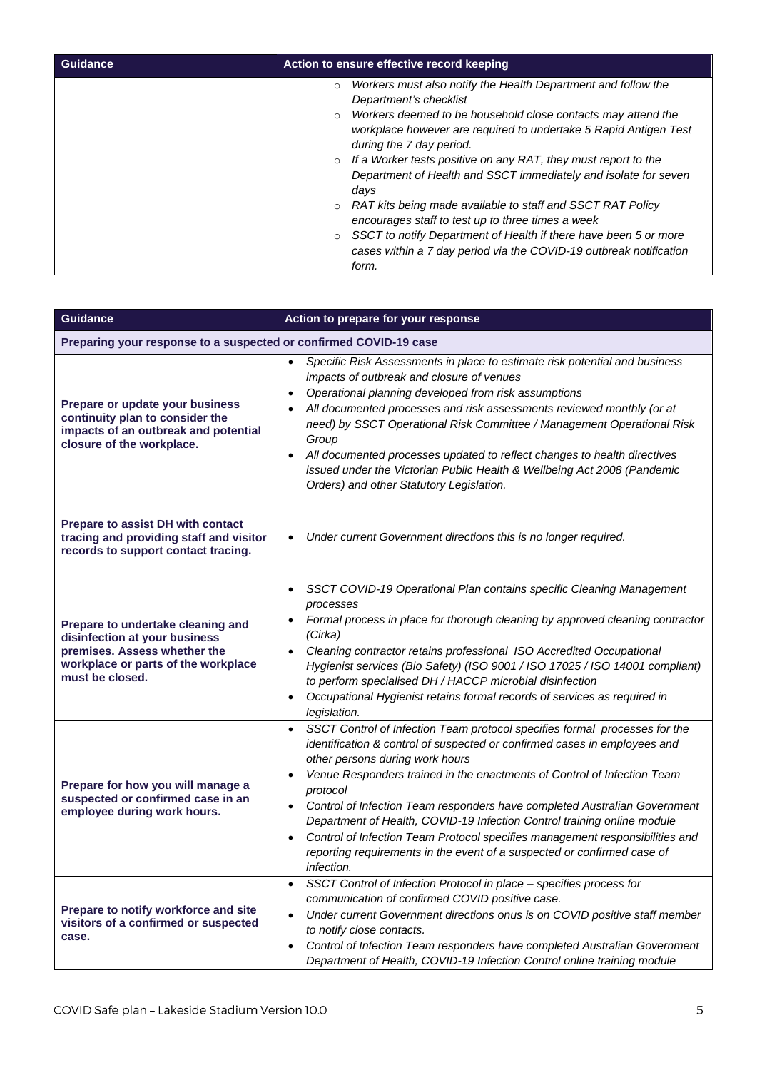| Guidance | Action to ensure effective record keeping                                                                                                                                                                                                                                                                                                                                                                                                                                                                                                                                                                                                                                                                                         |
|----------|-----------------------------------------------------------------------------------------------------------------------------------------------------------------------------------------------------------------------------------------------------------------------------------------------------------------------------------------------------------------------------------------------------------------------------------------------------------------------------------------------------------------------------------------------------------------------------------------------------------------------------------------------------------------------------------------------------------------------------------|
|          | Workers must also notify the Health Department and follow the<br>$\circ$<br>Department's checklist<br>Workers deemed to be household close contacts may attend the<br>$\circ$<br>workplace however are required to undertake 5 Rapid Antigen Test<br>during the 7 day period.<br>If a Worker tests positive on any RAT, they must report to the<br>$\circ$<br>Department of Health and SSCT immediately and isolate for seven<br>days<br>RAT kits being made available to staff and SSCT RAT Policy<br>$\circ$<br>encourages staff to test up to three times a week<br>SSCT to notify Department of Health if there have been 5 or more<br>$\circ$<br>cases within a 7 day period via the COVID-19 outbreak notification<br>form. |

| Guidance                                                                                                                                                     | Action to prepare for your response                                                                                                                                                                                                                                                                                                                                                                                                                                                                                                                                                                                                                       |
|--------------------------------------------------------------------------------------------------------------------------------------------------------------|-----------------------------------------------------------------------------------------------------------------------------------------------------------------------------------------------------------------------------------------------------------------------------------------------------------------------------------------------------------------------------------------------------------------------------------------------------------------------------------------------------------------------------------------------------------------------------------------------------------------------------------------------------------|
| Preparing your response to a suspected or confirmed COVID-19 case                                                                                            |                                                                                                                                                                                                                                                                                                                                                                                                                                                                                                                                                                                                                                                           |
| Prepare or update your business<br>continuity plan to consider the<br>impacts of an outbreak and potential<br>closure of the workplace.                      | Specific Risk Assessments in place to estimate risk potential and business<br>$\bullet$<br>impacts of outbreak and closure of venues<br>Operational planning developed from risk assumptions<br>$\bullet$<br>All documented processes and risk assessments reviewed monthly (or at<br>need) by SSCT Operational Risk Committee / Management Operational Risk<br>Group<br>All documented processes updated to reflect changes to health directives<br>$\bullet$<br>issued under the Victorian Public Health & Wellbeing Act 2008 (Pandemic<br>Orders) and other Statutory Legislation.                                                                     |
| <b>Prepare to assist DH with contact</b><br>tracing and providing staff and visitor<br>records to support contact tracing.                                   | Under current Government directions this is no longer required.<br>$\bullet$                                                                                                                                                                                                                                                                                                                                                                                                                                                                                                                                                                              |
| Prepare to undertake cleaning and<br>disinfection at your business<br>premises. Assess whether the<br>workplace or parts of the workplace<br>must be closed. | SSCT COVID-19 Operational Plan contains specific Cleaning Management<br>$\bullet$<br>processes<br>Formal process in place for thorough cleaning by approved cleaning contractor<br>(Cirka)<br>Cleaning contractor retains professional ISO Accredited Occupational<br>$\bullet$<br>Hygienist services (Bio Safety) (ISO 9001 / ISO 17025 / ISO 14001 compliant)<br>to perform specialised DH / HACCP microbial disinfection<br>Occupational Hygienist retains formal records of services as required in<br>$\bullet$<br>legislation.                                                                                                                      |
| Prepare for how you will manage a<br>suspected or confirmed case in an<br>employee during work hours.                                                        | SSCT Control of Infection Team protocol specifies formal processes for the<br>$\bullet$<br>identification & control of suspected or confirmed cases in employees and<br>other persons during work hours<br>Venue Responders trained in the enactments of Control of Infection Team<br>$\bullet$<br>protocol<br>Control of Infection Team responders have completed Australian Government<br>Department of Health, COVID-19 Infection Control training online module<br>Control of Infection Team Protocol specifies management responsibilities and<br>$\bullet$<br>reporting requirements in the event of a suspected or confirmed case of<br>infection. |
| Prepare to notify workforce and site<br>visitors of a confirmed or suspected<br>case.                                                                        | SSCT Control of Infection Protocol in place - specifies process for<br>$\bullet$<br>communication of confirmed COVID positive case.<br>Under current Government directions onus is on COVID positive staff member<br>$\bullet$<br>to notify close contacts.<br>Control of Infection Team responders have completed Australian Government<br>$\bullet$<br>Department of Health, COVID-19 Infection Control online training module                                                                                                                                                                                                                          |